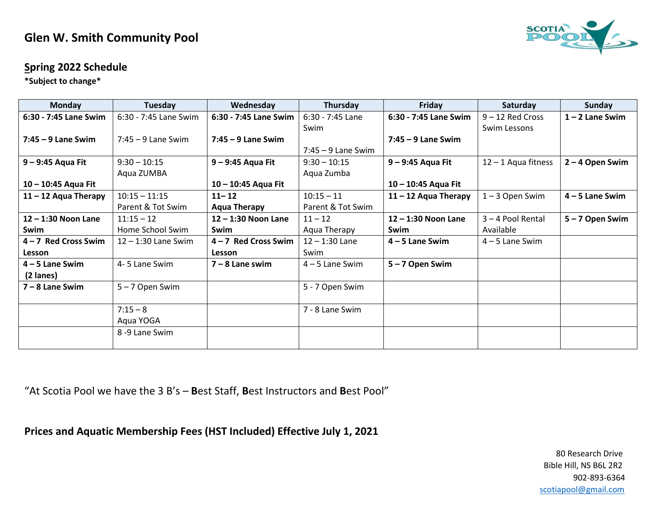## **Glen W. Smith Community Pool**



## **Spring 2022 Schedule**

**\*Subject to change\***

| <b>Monday</b>          | Tuesday               | Wednesday              | Thursday             | Friday                 | Saturday              | Sunday            |
|------------------------|-----------------------|------------------------|----------------------|------------------------|-----------------------|-------------------|
| 6:30 - 7:45 Lane Swim  | 6:30 - 7:45 Lane Swim | 6:30 - 7:45 Lane Swim  | 6:30 - 7:45 Lane     | 6:30 - 7:45 Lane Swim  | $9 - 12$ Red Cross    | $1 - 2$ Lane Swim |
|                        |                       |                        | Swim                 |                        | Swim Lessons          |                   |
| $7:45 - 9$ Lane Swim   | $7:45 - 9$ Lane Swim  | $7:45 - 9$ Lane Swim   |                      | $7:45 - 9$ Lane Swim   |                       |                   |
|                        |                       |                        | $7:45 - 9$ Lane Swim |                        |                       |                   |
| 9 - 9:45 Aqua Fit      | $9:30 - 10:15$        | 9 - 9:45 Aqua Fit      | $9:30 - 10:15$       | 9 - 9:45 Aqua Fit      | $12 - 1$ Aqua fitness | 2-4 Open Swim     |
|                        | Aqua ZUMBA            |                        | Aqua Zumba           |                        |                       |                   |
| 10 - 10:45 Aqua Fit    |                       | 10 - 10:45 Aqua Fit    |                      | 10 - 10:45 Aqua Fit    |                       |                   |
| $11 - 12$ Aqua Therapy | $10:15 - 11:15$       | $11 - 12$              | $10:15 - 11$         | $11 - 12$ Aqua Therapy | $1 - 3$ Open Swim     | $4 - 5$ Lane Swim |
|                        | Parent & Tot Swim     | <b>Aqua Therapy</b>    | Parent & Tot Swim    |                        |                       |                   |
| $12 - 1:30$ Noon Lane  | $11:15 - 12$          | $12 - 1:30$ Noon Lane  | $11 - 12$            | $12 - 1:30$ Noon Lane  | $3 - 4$ Pool Rental   | 5-7 Open Swim     |
| Swim                   | Home School Swim      | Swim                   | Aqua Therapy         | Swim                   | Available             |                   |
| $4 - 7$ Red Cross Swim | $12 - 1:30$ Lane Swim | $4 - 7$ Red Cross Swim | $12 - 1:30$ Lane     | $4 - 5$ Lane Swim      | $4 - 5$ Lane Swim     |                   |
| Lesson                 |                       | <b>Lesson</b>          | Swim                 |                        |                       |                   |
| $4 - 5$ Lane Swim      | 4-5 Lane Swim         | $7 - 8$ Lane swim      | $4 - 5$ Lane Swim    | $5 - 7$ Open Swim      |                       |                   |
| (2 lanes)              |                       |                        |                      |                        |                       |                   |
| $7 - 8$ Lane Swim      | 5-7 Open Swim         |                        | 5 - 7 Open Swim      |                        |                       |                   |
|                        |                       |                        |                      |                        |                       |                   |
|                        | $7:15 - 8$            |                        | 7 - 8 Lane Swim      |                        |                       |                   |
|                        | Aqua YOGA             |                        |                      |                        |                       |                   |
|                        | 8-9 Lane Swim         |                        |                      |                        |                       |                   |
|                        |                       |                        |                      |                        |                       |                   |

"At Scotia Pool we have the 3 B's – **B**est Staff, **B**est Instructors and **B**est Pool"

**Prices and Aquatic Membership Fees (HST Included) Effective July 1, 2021**